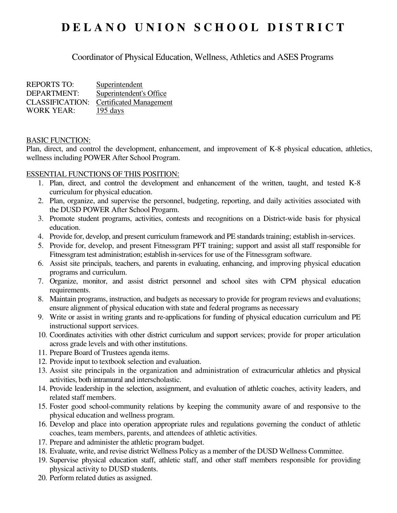# **D E L A N O U N I O N S C H O O L D I S T R I C T**

Coordinator of Physical Education, Wellness, Athletics and ASES Programs

| <b>REPORTS TO:</b>     | Superintendent                 |
|------------------------|--------------------------------|
| DEPARTMENT:            | Superintendent's Office        |
| <b>CLASSIFICATION:</b> | <b>Certificated Management</b> |
| <b>WORK YEAR:</b>      | $195 \text{ days}$             |

#### BASIC FUNCTION:

Plan, direct, and control the development, enhancement, and improvement of K-8 physical education, athletics, wellness including POWER After School Program.

#### ESSENTIAL FUNCTIONS OF THIS POSITION:

- 1. Plan, direct, and control the development and enhancement of the written, taught, and tested K-8 curriculum for physical education.
- 2. Plan, organize, and supervise the personnel, budgeting, reporting, and daily activities associated with the DUSD POWER After School Progarm.
- 3. Promote student programs, activities, contests and recognitions on a District-wide basis for physical education.
- 4. Provide for, develop, and present curriculum framework and PE standards training; establish in-services.
- 5. Provide for, develop, and present Fitnessgram PFT training; support and assist all staff responsible for Fitnessgram test administration; establish in-services for use of the Fitnessgram software.
- 6. Assist site principals, teachers, and parents in evaluating, enhancing, and improving physical education programs and curriculum.
- 7. Organize, monitor, and assist district personnel and school sites with CPM physical education requirements.
- 8. Maintain programs, instruction, and budgets as necessary to provide for program reviews and evaluations; ensure alignment of physical education with state and federal programs as necessary
- 9. Write or assist in writing grants and re-applications for funding of physical education curriculum and PE instructional support services.
- 10. Coordinates activities with other district curriculum and support services; provide for proper articulation across grade levels and with other institutions.
- 11. Prepare Board of Trustees agenda items.
- 12. Provide input to textbook selection and evaluation.
- 13. Assist site principals in the organization and administration of extracurricular athletics and physical activities, both intramural and interscholastic.
- 14. Provide leadership in the selection, assignment, and evaluation of athletic coaches, activity leaders, and related staff members.
- 15. Foster good school-community relations by keeping the community aware of and responsive to the physical education and wellness program.
- 16. Develop and place into operation appropriate rules and regulations governing the conduct of athletic coaches, team members, parents, and attendees of athletic activities.
- 17. Prepare and administer the athletic program budget.
- 18. Evaluate, write, and revise district Wellness Policy as a member of the DUSD Wellness Committee.
- 19. Supervise physical education staff, athletic staff, and other staff members responsible for providing physical activity to DUSD students.
- 20. Perform related duties as assigned.